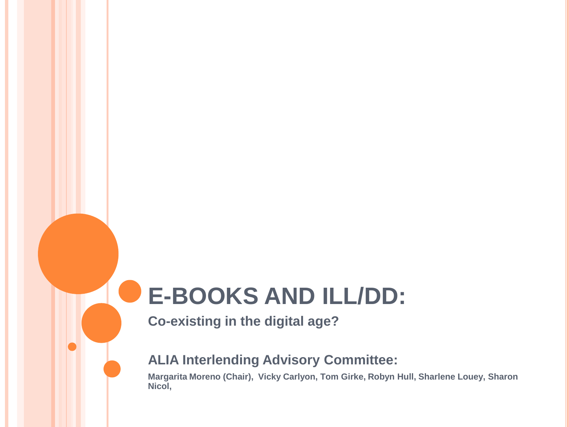# **E-BOOKS AND ILL/DD:**

**Co-existing in the digital age?**

#### **ALIA Interlending Advisory Committee:**

**Margarita Moreno (Chair), Vicky Carlyon, Tom Girke, Robyn Hull, Sharlene Louey, Sharon Nicol,**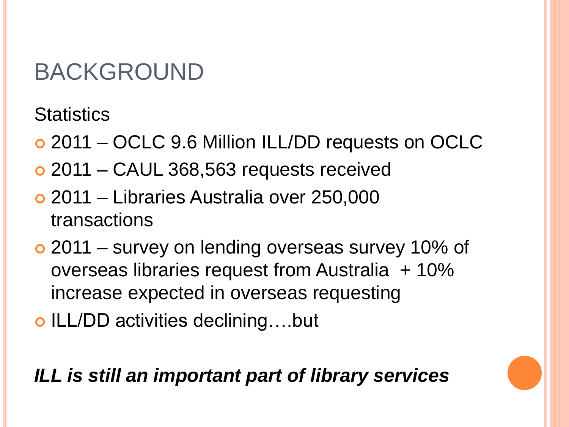# BACKGROUND

**Statistics** 

- 2011 OCLC 9.6 Million ILL/DD requests on OCLC
- 2011 CAUL 368,563 requests received
- 2011 Libraries Australia over 250,000 transactions
- 2011 survey on lending overseas survey 10% of overseas libraries request from Australia + 10% increase expected in overseas requesting
- o ILL/DD activities declining....but

*ILL is still an important part of library services*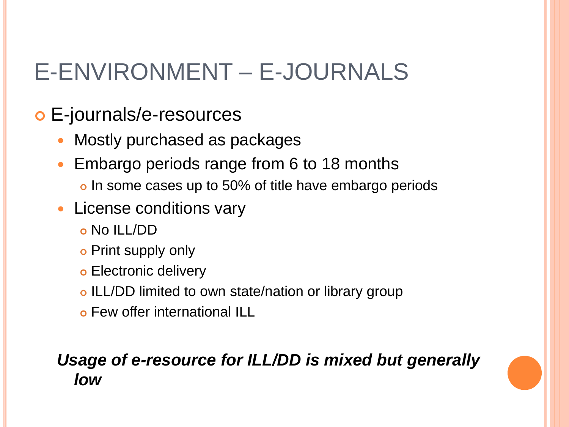## E-ENVIRONMENT – E-JOURNALS

- E-journals/e-resources
	- Mostly purchased as packages
	- Embargo periods range from 6 to 18 months o In some cases up to 50% of title have embargo periods
	- License conditions vary
		- No ILL/DD
		- o Print supply only
		- **o** Electronic delivery
		- o ILL/DD limited to own state/nation or library group
		- Few offer international ILL

### *Usage of e-resource for ILL/DD is mixed but generally low*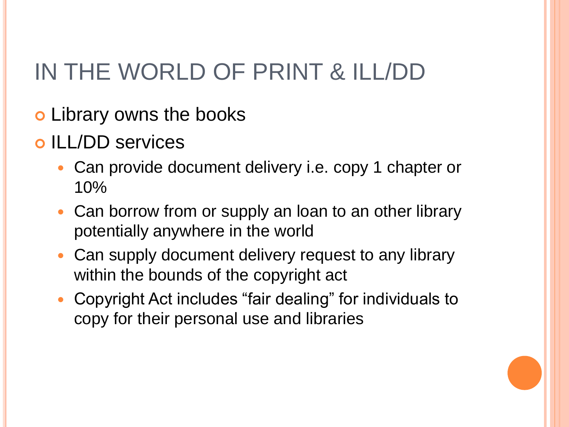# IN THE WORLD OF PRINT & ILL/DD

- Library owns the books
- o ILL/DD services
	- Can provide document delivery i.e. copy 1 chapter or 10%
	- Can borrow from or supply an loan to an other library potentially anywhere in the world
	- Can supply document delivery request to any library within the bounds of the copyright act
	- Copyright Act includes "fair dealing" for individuals to copy for their personal use and libraries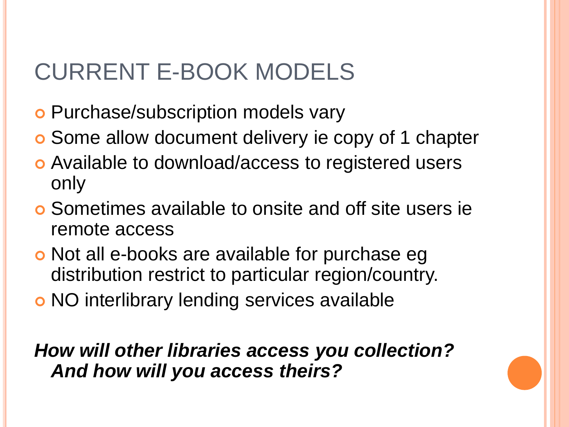## CURRENT E-BOOK MODELS

- **o** Purchase/subscription models vary
- Some allow document delivery ie copy of 1 chapter
- Available to download/access to registered users only
- Sometimes available to onsite and off site users ie remote access
- **o** Not all e-books are available for purchase eg distribution restrict to particular region/country.
- NO interlibrary lending services available

*How will other libraries access you collection? And how will you access theirs?*